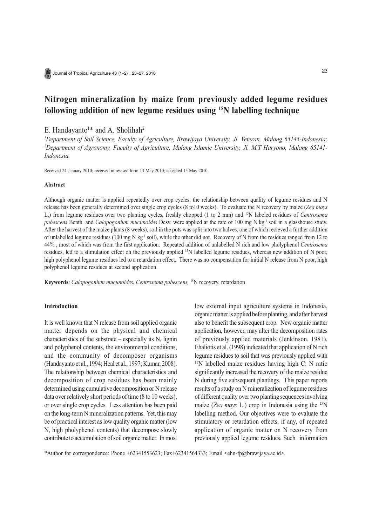# **Nitrogen mineralization by maize from previously added legume residues following addition of new legume residues using 15N labelling technique**

E. Handayanto<sup>1\*</sup> and A. Sholihah<sup>2</sup>

*1 Department of Soil Science, Faculty of Agriculture, Brawijaya University, Jl. Veteran, Malang 65145-Indonesia; 2 Department of Agronomy, Faculty of Agriculture, Malang Islamic University, Jl. M.T Haryono, Malang 65141- Indonesia.*

Received 24 January 2010; received in revised form 13 May 2010; accepted 15 May 2010.

#### **Abstract**

Although organic matter is applied repeatedly over crop cycles, the relationship between quality of legume residues and N release has been generally determined over single crop cycles (8 to10 weeks). To evaluate the N recovery by maize (*Zea mays* L.) from legume residues over two planting cycles, freshly chopped (1 to 2 mm) and 15N labeled residues of *Centrosema pubescens* Benth*.* and *Calopogonium mucunoides* Desv. were applied at the rate of 100 mg N·kg–1 soil in a glasshouse study. After the harvest of the maize plants (8 weeks), soil in the pots was split into two halves, one of which recieved a further addition of unlabelled legume residues (100 mg N·kg-1 soil), while the other did not. Recovery of N from the residues ranged from 12 to 44% , most of which was from the first application. Repeated addition of unlabelled N rich and low pholyphenol *Centrosema* residues, led to a stimulation effect on the previously applied 15N labelled legume residues, whereas new addition of N poor, high polyphenol legume residues led to a retardation effect. There was no compensation for initial N release from N poor, high polyphenol legume residues at second application.

**Keywords**: *Calopogonium mucunoides*, *Centrosema pubescens,* 15N recovery, retardation

#### **Introduction**

It is well known that N release from soil applied organic matter depends on the physical and chemical characteristics of the substrate – especially its N, lignin and polyphenol contents, the environmental conditions, and the community of decomposer organisms (Handayanto et al., 1994; Heal et al., 1997; Kumar, 2008). The relationship between chemical characteristics and decomposition of crop residues has been mainly determined using cumulative decomposition or N release data over relatively short periods of time (8 to 10 weeks), or over single crop cycles. Less attention has been paid on the long-term N mineralization patterns. Yet, this may be of practical interest as low quality organic matter (low N, high pholyphenol contents) that decompose slowly contribute to accumulation of soil organic matter. In most low external input agriculture systems in Indonesia, organic matter is applied before planting, and after harvest also to benefit the subsequent crop. New organic matter application, however, may alter the decomposition rates of previously applied materials (Jenkinson, 1981). Ehaliotis et al. (1998) indicated that application of N rich legume residues to soil that was previously applied with <sup>15</sup>N labelled maize residues having high C: N ratio significantly increased the recovery of the maize residue N during five subsequent plantings. This paper reports results of a study on N mineralization of legume residues of different quality over two planting sequences involving maize (*Zea mays* L.) crop in Indonesia using the 15N labelling method. Our objectives were to evaluate the stimulatory or retardation effects, if any, of repeated application of organic matter on N recovery from previously applied legume residues. Such information

\*Author for correspondence: Phone +62341553623; Fax+62341564333; Email <ehn-fp@brawijaya.ac.id>.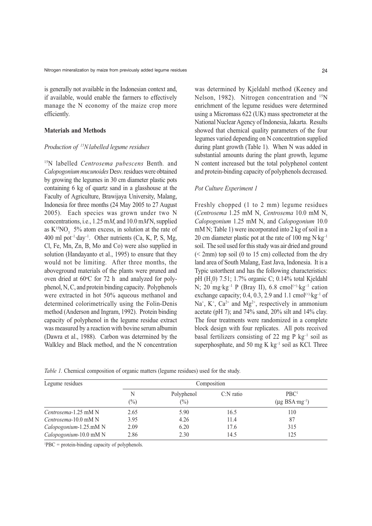is generally not available in the Indonesian context and, if available, would enable the farmers to effectively manage the N economy of the maize crop more efficiently.

#### **Materials and Methods**

### *Production of 15N labelled legume residues*

15N labelled *Centrosema pubescens* Benth*.* and *Calopogonium mucunoides* Desv. residues were obtained by growing the legumes in 30 cm diameter plastic pots containing 6 kg of quartz sand in a glasshouse at the Faculty of Agriculture, Brawijaya University, Malang, Indonesia for three months (24 May 2005 to 27 August 2005). Each species was grown under two N concentrations, i.e., 1.25 m*M*, and 10.0 m*M* N, supplied as  $K^{15}NO_3$  5% atom excess, in solution at the rate of 400 ml pot<sup>-1</sup>·day<sup>-1</sup>. Other nutrients (Ca, K, P, S, Mg, Cl, Fe, Mn, Zn, B, Mo and Co) were also supplied in solution (Handayanto et al., 1995) to ensure that they would not be limiting. After three months, the aboveground materials of the plants were pruned and oven dried at  $60^{\circ}$ C for 72 h and analyzed for polyphenol, N, C, and protein binding capacity. Polyphenols were extracted in hot 50% aqueous methanol and determined colorimetrically using the Folin-Denis method (Anderson and Ingram, 1992). Protein binding capacity of polyphenol in the legume residue extract was measured by a reaction with bovine serum albumin (Dawra et al., 1988). Carbon was determined by the Walkley and Black method, and the N concentration

was determined by Kjeldahl method (Keeney and Nelson, 1982). Nitrogen concentration and <sup>15</sup>N enrichment of the legume residues were determined using a Micromass 622 (UK) mass spectrometer at the National Nuclear Agency of Indonesia, Jakarta. Results showed that chemical quality parameters of the four legumes varied depending on N concentration supplied during plant growth (Table 1). When N was added in substantial amounts during the plant growth, legume N content increased but the total polyphenol content and protein-binding capacity of polyphenols decreased.

# *Pot Culture Experiment 1*

Freshly chopped (1 to 2 mm) legume residues (*Centrosema* 1.25 mM N, *Centrosema* 10.0 mM N, *Calopogonium* 1.25 mM N, and *Calopogonium* 10.0 mM N; Table 1) were incorporated into 2 kg of soil in a 20 cm diameter plastic pot at the rate of 100 mg  $N \cdot kg^{-1}$ soil. The soil used for this study was air dried and ground  $(< 2mm)$  top soil (0 to 15 cm) collected from the dry land area of South Malang, East Java, Indonesia. It is a Typic ustorthent and has the following characteristics: pH  $(H_2^0)$  7.51; 1.7% organic C; 0.14% total Kjeldahl N;  $20 \text{ mg} \cdot \text{kg}^{-1}$  P (Bray II), 6.8 cmol<sup>(+)</sup> $\cdot \text{kg}^{-1}$  cation exchange capacity; 0.4, 0.3, 2.9 and 1.1 cmol<sup> $(+)$ </sup>·kg<sup>-1</sup> of Na<sup>+</sup>, K<sup>+</sup>, Ca<sup>2+</sup> and Mg<sup>2+</sup>, respectively in ammonium acetate (pH 7); and 74% sand, 20% silt and 14% clay. The four treatments were randomized in a complete block design with four replicates. All pots received basal fertilizers consisting of 22 mg P  $kg^{-1}$  soil as superphosphate, and 50 mg K  $kg^{-1}$  soil as KCl. Three

*Table 1.* Chemical composition of organic matters (legume residues) used for the study.

| Legume residues        | Composition   |                              |             |                                                     |
|------------------------|---------------|------------------------------|-------------|-----------------------------------------------------|
|                        | $\frac{1}{2}$ | Polyphenol<br>$\binom{0}{0}$ | $C:N$ ratio | PBC <sup>1</sup><br>$(\mu g$ BSA·mg <sup>-1</sup> ) |
| Centrosema-1.25 mM N   | 2.65          | 5.90                         | 16.5        | 110                                                 |
| Centrosema-10.0 mM N   | 3.95          | 4.26                         | 11.4        | 87                                                  |
| Calopogonium-1.25.mM N | 2.09          | 6.20                         | 17.6        | 315                                                 |
| Calopogonium-10.0 mM N | 2.86          | 2.30                         | 14.5        | 125                                                 |

1 PBC = protein-binding capacity of polyphenols.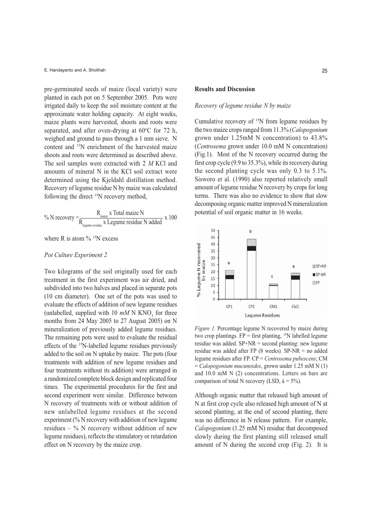pre-germinated seeds of maize (local variety) were planted in each pot on 5 September 2005. Pots were irrigated daily to keep the soil moisture content at the approximate water holding capacity. At eight weeks, maize plants were harvested, shoots and roots were separated, and after oven-drying at  $60^{\circ}$ C for 72 h, weighed and ground to pass through a 1 mm sieve. N content and 15N enrichment of the harvested maize shoots and roots were determined as described above. The soil samples were extracted with 2 *M* KCl and amounts of mineral N in the KCl soil extract were determined using the Kjeldahl distillation method. Recovery of legume residue N by maize was calculated following the direct <sup>15</sup>N recovery method,

$$
\% N recovery = \frac{R_{\text{maize}} \times \text{Total maize N}}{R_{\text{legume residue}} \times \text{Legendre residue N added}} \times 100
$$

where R is atom  $\%$  <sup>15</sup>N excess

#### *Pot Culture Experiment 2*

Two kilograms of the soil originally used for each treatment in the first experiment was air dried, and subdivided into two halves and placed in separate pots (10 cm diameter). One set of the pots was used to evaluate the effects of addition of new legume residues (unlabelled, supplied with 10  $mM$  N KNO<sub>3</sub> for three months from 24 May 2005 to 27 August 2005) on N mineralization of previously added legume residues. The remaining pots were used to evaluate the residual effects of the 15N-labelled legume residues previously added to the soil on N uptake by maize. The pots (four treatments with addition of new legume residues and four treatments without its addition) were arranged in a randomized complete block design and replicated four times. The experimental procedures for the first and second experiment were similar. Difference between N recovery of treatments with or without addition of new unlabelled legume residues at the second experiment (% N recovery with addition of new legume residues –  $\%$  N recovery without addition of new legume residues), reflects the stimulatory or retardation effect on N recovery by the maize crop.

# **Results and Discussion**

# *Recovery of legume residue N by maize*

Cumulative recovery of 15N from legume residues by the two maize crops ranged from 11.3% (*Calopogonium* grown under 1.25mM N concentration) to 43.8% (*Centrosema* grown under 10.0 mM N concentration) (Fig.1). Most of the N recovery occurred during the first crop cycle (9.9 to 35.3%), while its recovery during the second planting cycle was only 0.3 to 5.1%. Sisworo et al. (1990) also reported relatively small amount of legume residue N recovery by crops for long terms. There was also no evidence to show that slow decomposing organic matter improved N mineralization potential of soil organic matter in 16 weeks.



*Figure 1.* Percentage legume N recovered by maize during two crop plantings.  $FP = first$  planting, <sup>15</sup>N labelled legume residue was added. SP+NR = second planting: new legume residue was added after FP (8 weeks). SP-NR = no added legume residues after FP. CP = *Centrosema pubescens*; CM = *Calopogonium mucunoides*, grown under 1.25 mM N (1) and 10.0 mM N (2) concentrations. Letters on bars are comparison of total N recovery (LSD,  $\acute{a} = 5\%$ ).

Although organic matter that released high amount of N at first crop cycle also released high amount of N at second planting, at the end of second planting, there was no difference in N release pattern. For example, *Calopogonium* (1.25 mM N) residue that decomposed slowly during the first planting still released small amount of N during the second crop (Fig. 2). It is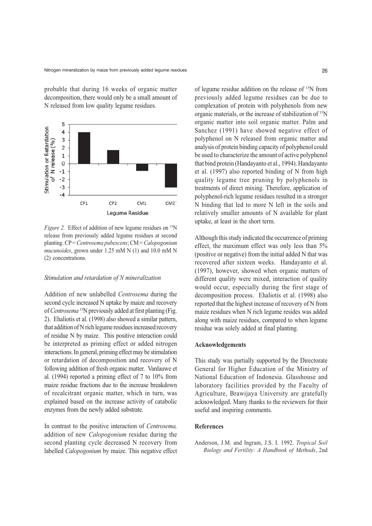probable that during 16 weeks of organic matter decomposition, there would only be a small amount of N released from low quality legume residues.



*Figure 2.* Effect of addition of new legume residues on <sup>15</sup>N release from previously added legume residues at second planting. CP = *Centrosema pubescens*; CM = *Calopogonium mucunoides*, grown under 1.25 mM N (1) and 10.0 mM N (2) concentrations.

# *Stimulation and retardation of N mineralization*

Addition of new unlabelled *Centrosema* during the second cycle increased N uptake by maize and recovery of*Centrosema* 15N previously added at first planting (Fig. 2). Ehaliotis et al. (1998) also showed a similar pattern, that addition of N rich legume residues increased recovery of residue N by maize. This positive interaction could be interpreted as priming effect or added nitrogen interactions. In general, priming effect may be stimulation or retardation of decomposition and recovery of N following addition of fresh organic matter. Vanlauwe et al. (1994) reported a priming effect of 7 to 10% from maize residue fractions due to the increase breakdown of recalcitrant organic matter, which in turn, was explained based on the increase activity of catabolic enzymes from the newly added substrate.

In contrast to the positive interaction of *Centrosema,* addition of new *Calopogonium* residue during the second planting cycle decreased N recovery from labelled *Calopogonium* by maize. This negative effect of legume residue addition on the release of 15N from previously added legume residues can be due to complexation of protein with polyphenols from new organic materials, or the increase of stabilization of 15N organic matter into soil organic matter. Palm and Sanchez (1991) have showed negative effect of polyphenol on N released from organic matter and analysis of protein binding capacity of polyphenol could be used to characterize the amount of active polyphenol that bind protein (Handayanto et al., 1994). Handayanto et al. (1997) also reported binding of N from high quality legume tree pruning by polyphenols in treatments of direct mixing. Therefore, application of polyphenol-rich legume residues resulted in a stronger N binding that led to more N left in the soils and relatively smaller amounts of N available for plant uptake, at least in the short term.

Although this study indicated the occurrence of priming effect, the maximum effect was only less than 5% (positive or negative) from the initial added N that was recovered after sixteen weeks. Handayanto et al. (1997), however, showed when organic matters of different quality were mixed, interaction of quality would occur, especially during the first stage of decomposition process. Ehaliotis et al. (1998) also reported that the highest increase of recovery of N from maize residues when N rich legume resides was added along with maize residues, compared to when legume residue was solely added at final planting.

# **Acknowledgements**

This study was partially supported by the Directorate General for Higher Education of the Ministry of National Education of Indonesia. Glasshouse and laboratory facilities provided by the Faculty of Agriculture, Brawijaya University are gratefully acknowledged. Many thanks to the reviewers for their useful and inspiring comments.

## **References**

Anderson, J.M. and Ingram, J.S. I. 1992. *Tropical Soil Biology and Fertility: A Handbook of Methods*, 2nd